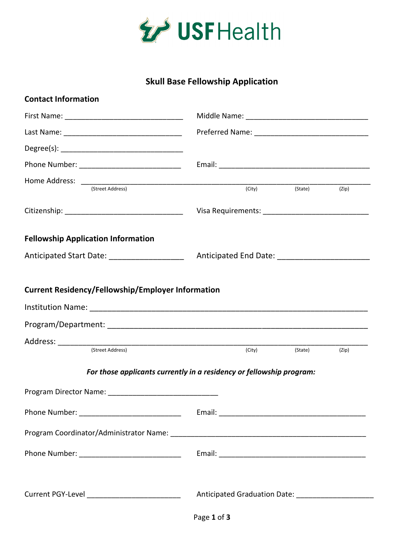

## **Skull Base Fellowship Application**

| <b>Contact Information</b>                                           |  |        |                      |       |
|----------------------------------------------------------------------|--|--------|----------------------|-------|
|                                                                      |  |        |                      |       |
|                                                                      |  |        |                      |       |
|                                                                      |  |        |                      |       |
|                                                                      |  |        |                      |       |
| (Street Address)                                                     |  |        |                      |       |
|                                                                      |  |        | (City) (State) (Zip) |       |
|                                                                      |  |        |                      |       |
| <b>Fellowship Application Information</b>                            |  |        |                      |       |
| Anticipated Start Date: __________________                           |  |        |                      |       |
|                                                                      |  |        |                      |       |
| (Street Address)                                                     |  | (City) | (State)              | (Zip) |
| For those applicants currently in a residency or fellowship program: |  |        |                      |       |
|                                                                      |  |        |                      |       |
| Phone Number: _______________________________                        |  |        |                      |       |
|                                                                      |  |        |                      |       |
|                                                                      |  |        |                      |       |
| Current PGY-Level ______________________________                     |  |        |                      |       |
|                                                                      |  |        |                      |       |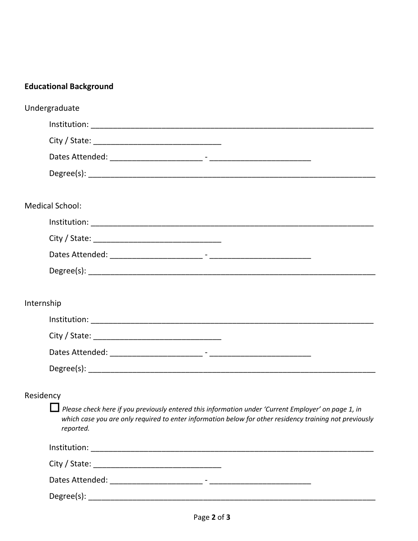|                        | <b>Educational Background</b>                                                                                                                                                                                               |
|------------------------|-----------------------------------------------------------------------------------------------------------------------------------------------------------------------------------------------------------------------------|
| Undergraduate          |                                                                                                                                                                                                                             |
|                        |                                                                                                                                                                                                                             |
|                        |                                                                                                                                                                                                                             |
|                        |                                                                                                                                                                                                                             |
|                        |                                                                                                                                                                                                                             |
| <b>Medical School:</b> |                                                                                                                                                                                                                             |
|                        |                                                                                                                                                                                                                             |
|                        |                                                                                                                                                                                                                             |
|                        |                                                                                                                                                                                                                             |
|                        |                                                                                                                                                                                                                             |
| Internship             |                                                                                                                                                                                                                             |
|                        |                                                                                                                                                                                                                             |
|                        |                                                                                                                                                                                                                             |
|                        |                                                                                                                                                                                                                             |
|                        |                                                                                                                                                                                                                             |
| Residency              |                                                                                                                                                                                                                             |
|                        | Please check here if you previously entered this information under 'Current Employer' on page 1, in<br>which case you are only required to enter information below for other residency training not previously<br>reported. |
|                        |                                                                                                                                                                                                                             |
|                        |                                                                                                                                                                                                                             |
|                        |                                                                                                                                                                                                                             |